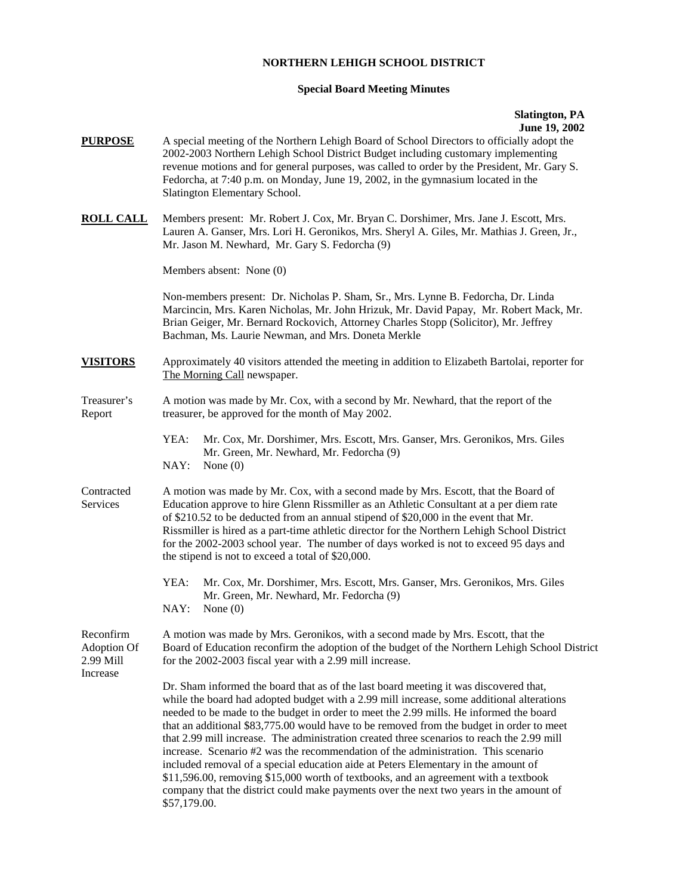## **NORTHERN LEHIGH SCHOOL DISTRICT**

## **Special Board Meeting Minutes**

## **Slatington, PA June 19, 2002**

| <b>PURPOSE</b>                        | A special meeting of the Northern Lehigh Board of School Directors to officially adopt the<br>2002-2003 Northern Lehigh School District Budget including customary implementing<br>revenue motions and for general purposes, was called to order by the President, Mr. Gary S.<br>Fedorcha, at 7:40 p.m. on Monday, June 19, 2002, in the gymnasium located in the<br>Slatington Elementary School.                                                                                                                                                                                                                                                                                                                                                                                                                                                |  |  |  |
|---------------------------------------|----------------------------------------------------------------------------------------------------------------------------------------------------------------------------------------------------------------------------------------------------------------------------------------------------------------------------------------------------------------------------------------------------------------------------------------------------------------------------------------------------------------------------------------------------------------------------------------------------------------------------------------------------------------------------------------------------------------------------------------------------------------------------------------------------------------------------------------------------|--|--|--|
| <b>ROLL CALL</b>                      | Members present: Mr. Robert J. Cox, Mr. Bryan C. Dorshimer, Mrs. Jane J. Escott, Mrs.<br>Lauren A. Ganser, Mrs. Lori H. Geronikos, Mrs. Sheryl A. Giles, Mr. Mathias J. Green, Jr.,<br>Mr. Jason M. Newhard, Mr. Gary S. Fedorcha (9)                                                                                                                                                                                                                                                                                                                                                                                                                                                                                                                                                                                                              |  |  |  |
|                                       | Members absent: None (0)                                                                                                                                                                                                                                                                                                                                                                                                                                                                                                                                                                                                                                                                                                                                                                                                                           |  |  |  |
|                                       | Non-members present: Dr. Nicholas P. Sham, Sr., Mrs. Lynne B. Fedorcha, Dr. Linda<br>Marcincin, Mrs. Karen Nicholas, Mr. John Hrizuk, Mr. David Papay, Mr. Robert Mack, Mr.<br>Brian Geiger, Mr. Bernard Rockovich, Attorney Charles Stopp (Solicitor), Mr. Jeffrey<br>Bachman, Ms. Laurie Newman, and Mrs. Doneta Merkle                                                                                                                                                                                                                                                                                                                                                                                                                                                                                                                          |  |  |  |
| <b>VISITORS</b>                       | Approximately 40 visitors attended the meeting in addition to Elizabeth Bartolai, reporter for<br>The Morning Call newspaper.                                                                                                                                                                                                                                                                                                                                                                                                                                                                                                                                                                                                                                                                                                                      |  |  |  |
| Treasurer's<br>Report                 | A motion was made by Mr. Cox, with a second by Mr. Newhard, that the report of the<br>treasurer, be approved for the month of May 2002.                                                                                                                                                                                                                                                                                                                                                                                                                                                                                                                                                                                                                                                                                                            |  |  |  |
|                                       | YEA:<br>Mr. Cox, Mr. Dorshimer, Mrs. Escott, Mrs. Ganser, Mrs. Geronikos, Mrs. Giles<br>Mr. Green, Mr. Newhard, Mr. Fedorcha (9)<br>NAY:<br>None $(0)$                                                                                                                                                                                                                                                                                                                                                                                                                                                                                                                                                                                                                                                                                             |  |  |  |
| Contracted<br>Services                | A motion was made by Mr. Cox, with a second made by Mrs. Escott, that the Board of<br>Education approve to hire Glenn Rissmiller as an Athletic Consultant at a per diem rate<br>of \$210.52 to be deducted from an annual stipend of \$20,000 in the event that Mr.<br>Rissmiller is hired as a part-time athletic director for the Northern Lehigh School District<br>for the 2002-2003 school year. The number of days worked is not to exceed 95 days and<br>the stipend is not to exceed a total of \$20,000.                                                                                                                                                                                                                                                                                                                                 |  |  |  |
|                                       | YEA:<br>Mr. Cox, Mr. Dorshimer, Mrs. Escott, Mrs. Ganser, Mrs. Geronikos, Mrs. Giles<br>Mr. Green, Mr. Newhard, Mr. Fedorcha (9)<br>NAY:<br>None $(0)$                                                                                                                                                                                                                                                                                                                                                                                                                                                                                                                                                                                                                                                                                             |  |  |  |
| Reconfirm<br>Adoption Of<br>2.99 Mill | A motion was made by Mrs. Geronikos, with a second made by Mrs. Escott, that the<br>Board of Education reconfirm the adoption of the budget of the Northern Lehigh School District<br>for the 2002-2003 fiscal year with a 2.99 mill increase.                                                                                                                                                                                                                                                                                                                                                                                                                                                                                                                                                                                                     |  |  |  |
| Increase                              | Dr. Sham informed the board that as of the last board meeting it was discovered that,<br>while the board had adopted budget with a 2.99 mill increase, some additional alterations<br>needed to be made to the budget in order to meet the 2.99 mills. He informed the board<br>that an additional \$83,775.00 would have to be removed from the budget in order to meet<br>that 2.99 mill increase. The administration created three scenarios to reach the 2.99 mill<br>increase. Scenario #2 was the recommendation of the administration. This scenario<br>included removal of a special education aide at Peters Elementary in the amount of<br>\$11,596.00, removing \$15,000 worth of textbooks, and an agreement with a textbook<br>company that the district could make payments over the next two years in the amount of<br>\$57,179.00. |  |  |  |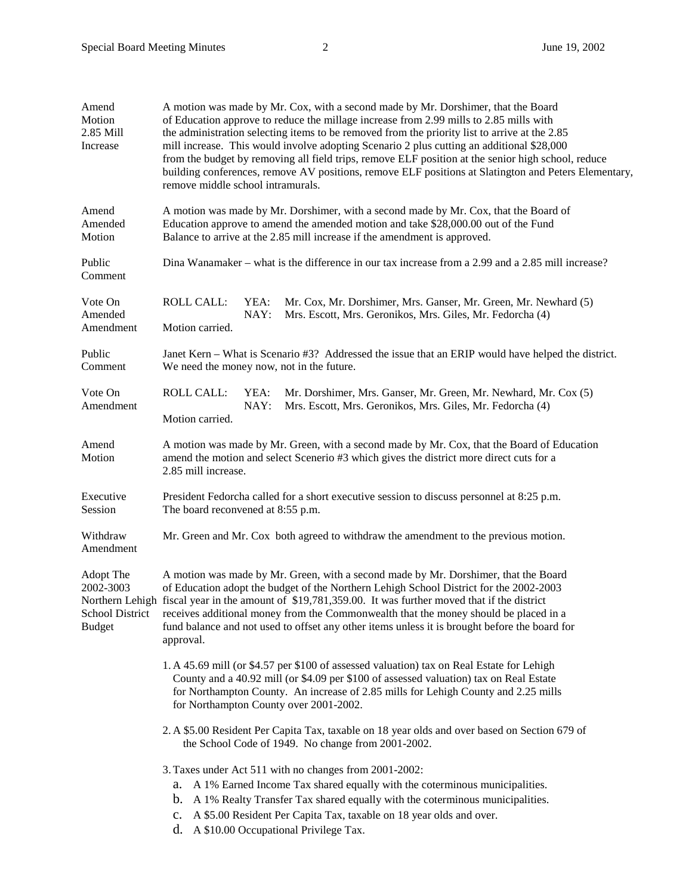| Amend<br>Motion<br>2.85 Mill<br>Increase                   | A motion was made by Mr. Cox, with a second made by Mr. Dorshimer, that the Board<br>of Education approve to reduce the millage increase from 2.99 mills to 2.85 mills with<br>the administration selecting items to be removed from the priority list to arrive at the 2.85<br>mill increase. This would involve adopting Scenario 2 plus cutting an additional \$28,000<br>from the budget by removing all field trips, remove ELF position at the senior high school, reduce<br>building conferences, remove AV positions, remove ELF positions at Slatington and Peters Elementary,<br>remove middle school intramurals. |  |  |  |
|------------------------------------------------------------|------------------------------------------------------------------------------------------------------------------------------------------------------------------------------------------------------------------------------------------------------------------------------------------------------------------------------------------------------------------------------------------------------------------------------------------------------------------------------------------------------------------------------------------------------------------------------------------------------------------------------|--|--|--|
| Amend<br>Amended<br>Motion                                 | A motion was made by Mr. Dorshimer, with a second made by Mr. Cox, that the Board of<br>Education approve to amend the amended motion and take \$28,000.00 out of the Fund<br>Balance to arrive at the 2.85 mill increase if the amendment is approved.                                                                                                                                                                                                                                                                                                                                                                      |  |  |  |
| Public<br>Comment                                          | Dina Wanamaker – what is the difference in our tax increase from a 2.99 and a 2.85 mill increase?                                                                                                                                                                                                                                                                                                                                                                                                                                                                                                                            |  |  |  |
| Vote On<br>Amended<br>Amendment                            | <b>ROLL CALL:</b><br>YEA:<br>Mr. Cox, Mr. Dorshimer, Mrs. Ganser, Mr. Green, Mr. Newhard (5)<br>NAY:<br>Mrs. Escott, Mrs. Geronikos, Mrs. Giles, Mr. Fedorcha (4)<br>Motion carried.                                                                                                                                                                                                                                                                                                                                                                                                                                         |  |  |  |
| Public<br>Comment                                          | Janet Kern – What is Scenario #3? Addressed the issue that an ERIP would have helped the district.<br>We need the money now, not in the future.                                                                                                                                                                                                                                                                                                                                                                                                                                                                              |  |  |  |
| Vote On<br>Amendment                                       | <b>ROLL CALL:</b><br>YEA:<br>Mr. Dorshimer, Mrs. Ganser, Mr. Green, Mr. Newhard, Mr. Cox (5)<br>NAY:<br>Mrs. Escott, Mrs. Geronikos, Mrs. Giles, Mr. Fedorcha (4)<br>Motion carried.                                                                                                                                                                                                                                                                                                                                                                                                                                         |  |  |  |
| Amend<br>Motion                                            | A motion was made by Mr. Green, with a second made by Mr. Cox, that the Board of Education<br>amend the motion and select Scenerio #3 which gives the district more direct cuts for a<br>2.85 mill increase.                                                                                                                                                                                                                                                                                                                                                                                                                 |  |  |  |
| Executive<br>Session                                       | President Fedorcha called for a short executive session to discuss personnel at 8:25 p.m.<br>The board reconvened at 8:55 p.m.                                                                                                                                                                                                                                                                                                                                                                                                                                                                                               |  |  |  |
| Withdraw<br>Amendment                                      | Mr. Green and Mr. Cox both agreed to withdraw the amendment to the previous motion.                                                                                                                                                                                                                                                                                                                                                                                                                                                                                                                                          |  |  |  |
| Adopt The<br>2002-3003<br>School District<br><b>Budget</b> | A motion was made by Mr. Green, with a second made by Mr. Dorshimer, that the Board<br>of Education adopt the budget of the Northern Lehigh School District for the 2002-2003<br>Northern Lehigh fiscal year in the amount of \$19,781,359.00. It was further moved that if the district<br>receives additional money from the Commonwealth that the money should be placed in a<br>fund balance and not used to offset any other items unless it is brought before the board for<br>approval.                                                                                                                               |  |  |  |
|                                                            | 1. A 45.69 mill (or \$4.57 per \$100 of assessed valuation) tax on Real Estate for Lehigh<br>County and a 40.92 mill (or \$4.09 per \$100 of assessed valuation) tax on Real Estate<br>for Northampton County. An increase of 2.85 mills for Lehigh County and 2.25 mills<br>for Northampton County over 2001-2002.                                                                                                                                                                                                                                                                                                          |  |  |  |
|                                                            | 2. A \$5.00 Resident Per Capita Tax, taxable on 18 year olds and over based on Section 679 of<br>the School Code of 1949. No change from 2001-2002.                                                                                                                                                                                                                                                                                                                                                                                                                                                                          |  |  |  |
|                                                            | 3. Taxes under Act 511 with no changes from 2001-2002:<br>a. A 1% Earned Income Tax shared equally with the coterminous municipalities.<br>b. A 1% Realty Transfer Tax shared equally with the coterminous municipalities.<br>c. A \$5.00 Resident Per Capita Tax, taxable on 18 year olds and over.<br>d. A \$10.00 Occupational Privilege Tax.                                                                                                                                                                                                                                                                             |  |  |  |